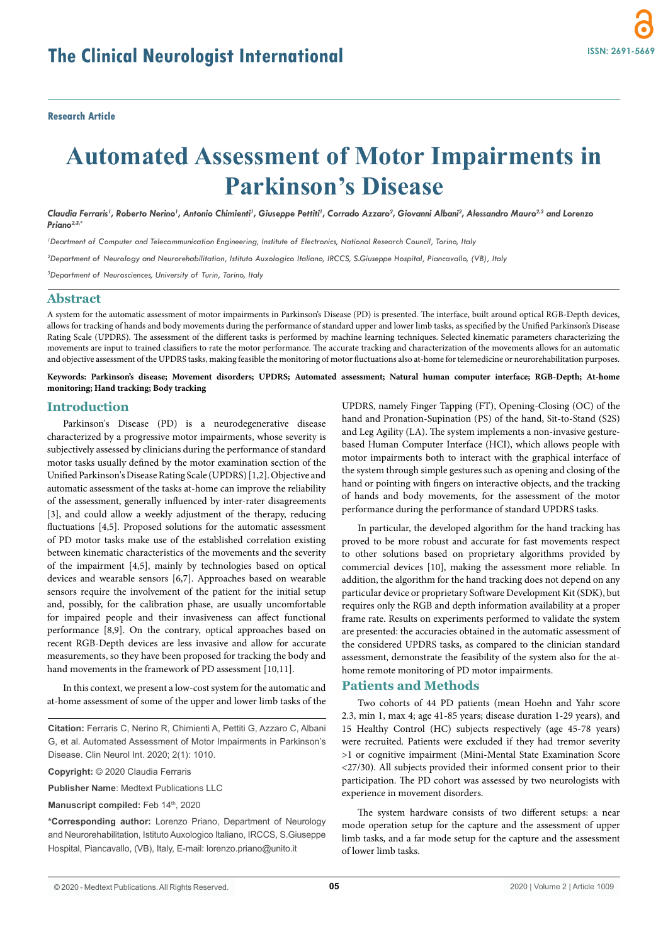# **Automated Assessment of Motor Impairments in Parkinson's Disease**

Claudia Ferraris', Roberto Nerino', Antonio Chimienti', Giuseppe Pettiti', Corrado Azzaro<sup>2</sup>, Giovanni Albani<sup>2</sup>, Alessandro Mauro<sup>2,3</sup> and Lorenzo *Priano2,3,\**

*1 Deartment of Computer and Telecommunication Engineering, Institute of Electronics, National Research Council, Torino, Italy*

*2 Department of Neurology and Neurorehabilitation, Istituto Auxologico Italiano, IRCCS, S.Giuseppe Hospital, Piancavallo, (VB), Italy*

*3 Department of Neurosciences, University of Turin, Torino, Italy*

### **Abstract**

A system for the automatic assessment of motor impairments in Parkinson's Disease (PD) is presented. The interface, built around optical RGB-Depth devices, allows for tracking of hands and body movements during the performance of standard upper and lower limb tasks, as specified by the Unified Parkinson's Disease Rating Scale (UPDRS). The assessment of the different tasks is performed by machine learning techniques. Selected kinematic parameters characterizing the movements are input to trained classifiers to rate the motor performance. The accurate tracking and characterization of the movements allows for an automatic and objective assessment of the UPDRS tasks, making feasible the monitoring of motor fluctuations also at-home for telemedicine or neurorehabilitation purposes.

**Keywords: Parkinson's disease; Movement disorders; UPDRS; Automated assessment; Natural human computer interface; RGB-Depth; At-home monitoring; Hand tracking; Body tracking**

#### **Introduction**

Parkinson's Disease (PD) is a neurodegenerative disease characterized by a progressive motor impairments, whose severity is subjectively assessed by clinicians during the performance of standard motor tasks usually defined by the motor examination section of the Unified Parkinson's Disease Rating Scale (UPDRS) [1,2]. Objective and automatic assessment of the tasks at-home can improve the reliability of the assessment, generally influenced by inter-rater disagreements [3], and could allow a weekly adjustment of the therapy, reducing fluctuations [4,5]. Proposed solutions for the automatic assessment of PD motor tasks make use of the established correlation existing between kinematic characteristics of the movements and the severity of the impairment [4,5], mainly by technologies based on optical devices and wearable sensors [6,7]. Approaches based on wearable sensors require the involvement of the patient for the initial setup and, possibly, for the calibration phase, are usually uncomfortable for impaired people and their invasiveness can affect functional performance [8,9]. On the contrary, optical approaches based on recent RGB-Depth devices are less invasive and allow for accurate measurements, so they have been proposed for tracking the body and hand movements in the framework of PD assessment [10,11].

In this context, we present a low-cost system for the automatic and at-home assessment of some of the upper and lower limb tasks of the

**Citation:** Ferraris C, Nerino R, Chimienti A, Pettiti G, Azzaro C, Albani G, et al. Automated Assessment of Motor Impairments in Parkinson's Disease. Clin Neurol Int. 2020; 2(1): 1010.

**Copyright:** © 2020 Claudia Ferraris

**Publisher Name**: Medtext Publications LLC

**Manuscript compiled: Feb 14th, 2020** 

**\*Corresponding author:** Lorenzo Priano, Department of Neurology and Neurorehabilitation, Istituto Auxologico Italiano, IRCCS, S.Giuseppe Hospital, Piancavallo, (VB), Italy, E-mail: lorenzo.priano@unito.it

UPDRS, namely Finger Tapping (FT), Opening-Closing (OC) of the hand and Pronation-Supination (PS) of the hand, Sit-to-Stand (S2S) and Leg Agility (LA). The system implements a non-invasive gesturebased Human Computer Interface (HCI), which allows people with motor impairments both to interact with the graphical interface of the system through simple gestures such as opening and closing of the hand or pointing with fingers on interactive objects, and the tracking of hands and body movements, for the assessment of the motor performance during the performance of standard UPDRS tasks.

In particular, the developed algorithm for the hand tracking has proved to be more robust and accurate for fast movements respect to other solutions based on proprietary algorithms provided by commercial devices [10], making the assessment more reliable. In addition, the algorithm for the hand tracking does not depend on any particular device or proprietary Software Development Kit (SDK), but requires only the RGB and depth information availability at a proper frame rate. Results on experiments performed to validate the system are presented: the accuracies obtained in the automatic assessment of the considered UPDRS tasks, as compared to the clinician standard assessment, demonstrate the feasibility of the system also for the athome remote monitoring of PD motor impairments.

#### **Patients and Methods**

Two cohorts of 44 PD patients (mean Hoehn and Yahr score 2.3, min 1, max 4; age 41-85 years; disease duration 1-29 years), and 15 Healthy Control (HC) subjects respectively (age 45-78 years) were recruited. Patients were excluded if they had tremor severity >1 or cognitive impairment (Mini-Mental State Examination Score <27/30). All subjects provided their informed consent prior to their participation. The PD cohort was assessed by two neurologists with experience in movement disorders.

The system hardware consists of two different setups: a near mode operation setup for the capture and the assessment of upper limb tasks, and a far mode setup for the capture and the assessment of lower limb tasks.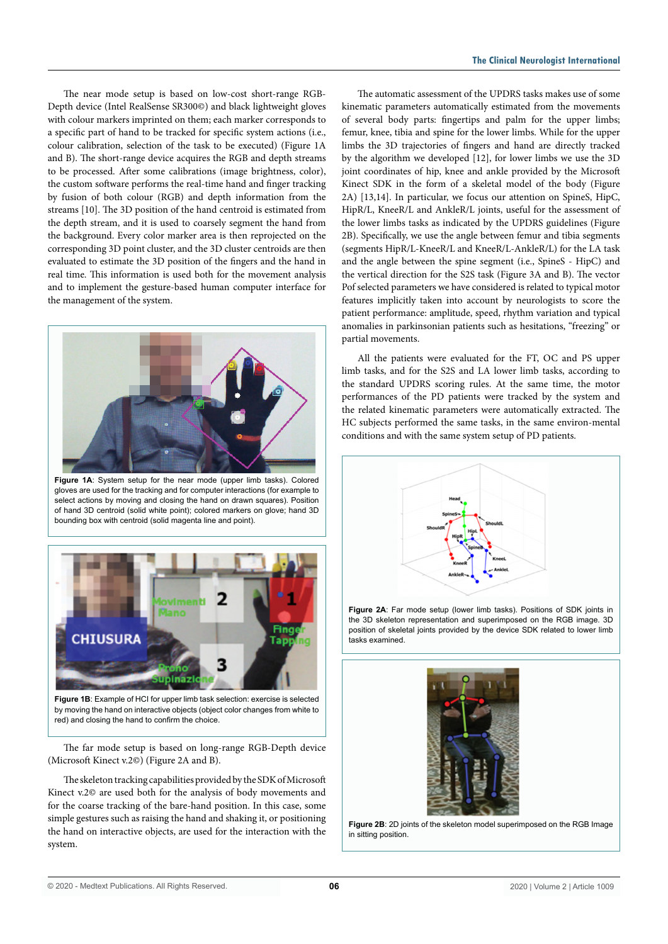The near mode setup is based on low-cost short-range RGB-Depth device (Intel RealSense SR300©) and black lightweight gloves with colour markers imprinted on them; each marker corresponds to a specific part of hand to be tracked for specific system actions (i.e., colour calibration, selection of the task to be executed) (Figure 1A and B). The short-range device acquires the RGB and depth streams to be processed. After some calibrations (image brightness, color), the custom software performs the real-time hand and finger tracking by fusion of both colour (RGB) and depth information from the streams [10]. The 3D position of the hand centroid is estimated from the depth stream, and it is used to coarsely segment the hand from the background. Every color marker area is then reprojected on the corresponding 3D point cluster, and the 3D cluster centroids are then evaluated to estimate the 3D position of the fingers and the hand in real time. This information is used both for the movement analysis and to implement the gesture-based human computer interface for the management of the system.



**Figure 1A**: System setup for the near mode (upper limb tasks). Colored gloves are used for the tracking and for computer interactions (for example to select actions by moving and closing the hand on drawn squares). Position of hand 3D centroid (solid white point); colored markers on glove; hand 3D bounding box with centroid (solid magenta line and point).



**Figure 1B:** Example of HCI for upper limb task selection: exercise is selected by moving the hand on interactive objects (object color changes from white to red) and closing the hand to confirm the choice.

The far mode setup is based on long-range RGB-Depth device (Microsoft Kinect v.2©) (Figure 2A and B).

The skeleton tracking capabilities provided by the SDK of Microsoft Kinect v.2© are used both for the analysis of body movements and for the coarse tracking of the bare-hand position. In this case, some simple gestures such as raising the hand and shaking it, or positioning the hand on interactive objects, are used for the interaction with the system.

The automatic assessment of the UPDRS tasks makes use of some kinematic parameters automatically estimated from the movements of several body parts: fingertips and palm for the upper limbs; femur, knee, tibia and spine for the lower limbs. While for the upper limbs the 3D trajectories of fingers and hand are directly tracked by the algorithm we developed [12], for lower limbs we use the 3D joint coordinates of hip, knee and ankle provided by the Microsoft Kinect SDK in the form of a skeletal model of the body (Figure 2A) [13,14]. In particular, we focus our attention on SpineS, HipC, HipR/L, KneeR/L and AnkleR/L joints, useful for the assessment of the lower limbs tasks as indicated by the UPDRS guidelines (Figure 2B). Specifically, we use the angle between femur and tibia segments (segments HipR/L-KneeR/L and KneeR/L-AnkleR/L) for the LA task and the angle between the spine segment (i.e., SpineS - HipC) and the vertical direction for the S2S task (Figure 3A and B). The vector Pof selected parameters we have considered is related to typical motor features implicitly taken into account by neurologists to score the patient performance: amplitude, speed, rhythm variation and typical anomalies in parkinsonian patients such as hesitations, "freezing" or partial movements.

All the patients were evaluated for the FT, OC and PS upper limb tasks, and for the S2S and LA lower limb tasks, according to the standard UPDRS scoring rules. At the same time, the motor performances of the PD patients were tracked by the system and the related kinematic parameters were automatically extracted. The HC subjects performed the same tasks, in the same environ-mental conditions and with the same system setup of PD patients.



**Figure 2A**: Far mode setup (lower limb tasks). Positions of SDK joints in the 3D skeleton representation and superimposed on the RGB image. 3D position of skeletal joints provided by the device SDK related to lower limb tasks examined.



**Figure 2B**: 2D joints of the skeleton model superimposed on the RGB Image in sitting position.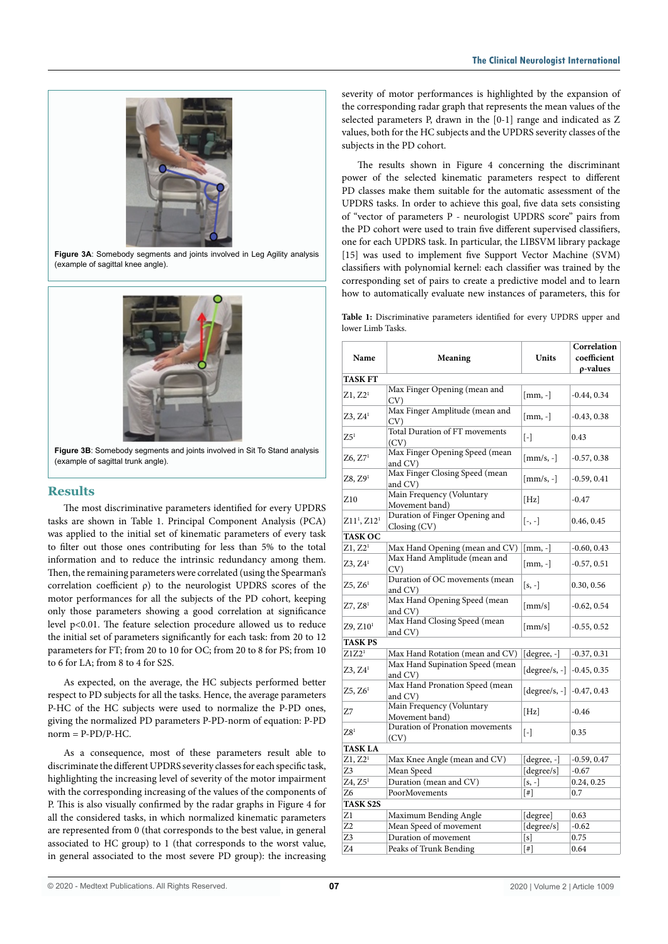

**Figure 3A**: Somebody segments and joints involved in Leg Agility analysis (example of sagittal knee angle).



**Figure 3B**: Somebody segments and joints involved in Sit To Stand analysis (example of sagittal trunk angle).

## **Results**

The most discriminative parameters identified for every UPDRS tasks are shown in Table 1. Principal Component Analysis (PCA) was applied to the initial set of kinematic parameters of every task to filter out those ones contributing for less than 5% to the total information and to reduce the intrinsic redundancy among them. Then, the remaining parameters were correlated (using the Spearman's correlation coefficient ρ) to the neurologist UPDRS scores of the motor performances for all the subjects of the PD cohort, keeping only those parameters showing a good correlation at significance level p<0.01. The feature selection procedure allowed us to reduce the initial set of parameters significantly for each task: from 20 to 12 parameters for FT; from 20 to 10 for OC; from 20 to 8 for PS; from 10 to 6 for LA; from 8 to 4 for S2S.

As expected, on the average, the HC subjects performed better respect to PD subjects for all the tasks. Hence, the average parameters P-HC of the HC subjects were used to normalize the P-PD ones, giving the normalized PD parameters P-PD-norm of equation: P-PD  $norm = P-PD/P-HC$ .

As a consequence, most of these parameters result able to discriminate the different UPDRS severity classes for each specific task, highlighting the increasing level of severity of the motor impairment with the corresponding increasing of the values of the components of P. This is also visually confirmed by the radar graphs in Figure 4 for all the considered tasks, in which normalized kinematic parameters are represented from 0 (that corresponds to the best value, in general associated to HC group) to 1 (that corresponds to the worst value, in general associated to the most severe PD group): the increasing

severity of motor performances is highlighted by the expansion of the corresponding radar graph that represents the mean values of the selected parameters P, drawn in the [0-1] range and indicated as Z values, both for the HC subjects and the UPDRS severity classes of the subjects in the PD cohort.

The results shown in Figure 4 concerning the discriminant power of the selected kinematic parameters respect to different PD classes make them suitable for the automatic assessment of the UPDRS tasks. In order to achieve this goal, five data sets consisting of "vector of parameters P - neurologist UPDRS score" pairs from the PD cohort were used to train five different supervised classifiers, one for each UPDRS task. In particular, the LIBSVM library package [15] was used to implement five Support Vector Machine (SVM) classifiers with polynomial kernel: each classifier was trained by the corresponding set of pairs to create a predictive model and to learn how to automatically evaluate new instances of parameters, this for

**Table 1:** Discriminative parameters identified for every UPDRS upper and lower Limb Tasks.

|                                     |                                                         |                                   | Correlation   |
|-------------------------------------|---------------------------------------------------------|-----------------------------------|---------------|
| Name                                | Meaning                                                 | Units                             | coefficient   |
|                                     |                                                         |                                   | p-values      |
| <b>TASK FT</b>                      |                                                         |                                   |               |
| Z1, Z2 <sup>1</sup>                 | Max Finger Opening (mean and<br>CV)                     | $[mm, -]$                         | $-0.44, 0.34$ |
| Z3, Z4 <sup>1</sup>                 | Max Finger Amplitude (mean and<br>CV)                   | $[mm, -]$                         | $-0.43, 0.38$ |
| Z5 <sup>1</sup>                     | Total Duration of FT movements<br>(CV)                  | $\lceil - \rceil$                 | 0.43          |
| Z6, Z7 <sup>1</sup>                 | Max Finger Opening Speed (mean<br>and CV)               | $\left[\text{mm/s}, -\right]$     | $-0.57, 0.38$ |
| Z8, Z9 <sup>1</sup>                 | Max Finger Closing Speed (mean<br>and CV)               | $\left[\text{mm/s}, -\right]$     | $-0.59, 0.41$ |
| Z <sub>10</sub>                     | Main Frequency (Voluntary<br>Movement band)             | [Hz]                              | $-0.47$       |
| Z11 <sup>1</sup> , Z12 <sup>1</sup> | Duration of Finger Opening and<br>$\text{Closing (CV)}$ | $[-, -]$                          | 0.46, 0.45    |
| <b>TASK OC</b>                      |                                                         |                                   |               |
| Z1, Z2 <sup>1</sup>                 | Max Hand Opening (mean and CV)                          | $[mm, -]$                         | $-0.60, 0.43$ |
| Z3, Z4 <sup>1</sup>                 | Max Hand Amplitude (mean and<br>CV                      | $[mm, -]$                         | $-0.57, 0.51$ |
| Z5, Z6 <sup>1</sup>                 | Duration of OC movements (mean<br>and CV)               | $[s, -]$                          | 0.30, 0.56    |
| Z7, Z8 <sup>1</sup>                 | Max Hand Opening Speed (mean<br>and CV)                 | ${\rm [mm/s]}$                    | $-0.62, 0.54$ |
| Z9, Z10 <sup>1</sup>                | Max Hand Closing Speed (mean<br>and CV)                 | ${\rm [mm/s]}$                    | $-0.55, 0.52$ |
| TASK PS                             |                                                         |                                   |               |
| Z1Z2 <sup>1</sup>                   | Max Hand Rotation (mean and CV)                         | $[degree, -]$                     | $-0.37, 0.31$ |
| Z3, Z4 <sup>1</sup>                 | Max Hand Supination Speed (mean<br>and CV)              | [degree/s, -] $\vert$ -0.45, 0.35 |               |
| Z5, Z6 <sup>1</sup>                 | Max Hand Pronation Speed (mean<br>and CV)               | [degree/s, $-$ ] $-0.47, 0.43$    |               |
| Z7                                  | Main Frequency (Voluntary<br>Movement band)             | [Hz]                              | $-0.46$       |
| Z8 <sup>1</sup>                     | Duration of Pronation movements<br>(CV)                 | $\lceil - \rceil$                 | 0.35          |
| <b>TASK LA</b>                      |                                                         |                                   |               |
| Z1, Z2 <sup>1</sup>                 | Max Knee Angle (mean and CV)                            | [degree, -]                       | $-0.59, 0.47$ |
| Z3                                  | Mean Speed                                              | [degree/s]                        | $-0.67$       |
| Z4, Z5 <sup>1</sup>                 | Duration (mean and CV)                                  | $[s, -]$                          | 0.24, 0.25    |
| Z6                                  | PoorMovements                                           | $[$ #]                            | 0.7           |
| <b>TASK S2S</b>                     |                                                         |                                   |               |
| Z1                                  | Maximum Bending Angle                                   | [degree]                          | 0.63          |
| Z2                                  | Mean Speed of movement                                  | [degree/s]                        | $-0.62$       |
| Z3                                  | Duration of movement                                    | [s]                               | 0.75          |
| Z4                                  | Peaks of Trunk Bending                                  | $[$                               | 0.64          |